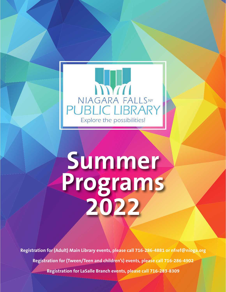

# **Summer Programs 2022**

**Registration for (Adult) Main Library events, please call 716-286-4881 or nfref@nioga.org Registration for (Tween/Teen and children's) events, please call 716-286-4902 Registration for LaSalle Branch events, please call 716-283-8309**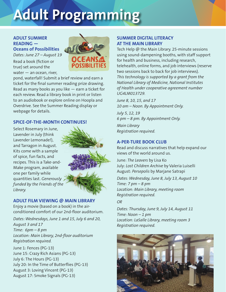# **Adult Programming**

# **ADULT SUMMER READING —**

**Oceans of Possibilities** *Dates: June 27 – August 19*

Read a book (fiction or true) set around the water — an ocean, river,



pond, waterfall! Submit a brief review and earn a ticket for the final summer reading prize drawing. Read as many books as you like — earn a ticket for each review. Read a library book in print or listen to an audiobook or explore online on Hoopla and Overdrive. See the Summer Reading display or webpage for details.

# **SPICE-OF-THE-MONTH CONTINUES!**

Select Rosemary in June, Lavender in July (think Lavender Lemonade!), and Tarragon in August. Kits come with a sample of spice, fun facts, and recipes. This is a Take-and-Make program, available one per family while quantities last. *Generously funded by the Friends of the Library.*



# **ADULT FILM VIEWING @ MAIN LIBRARY**

Enjoy a movie (based on a book) in the airconditioned comfort of our 2nd-floor auditorium.

*Dates: Wednesdays, June 1 and 15, July 6 and 20, August 3 and 17 Time: 6pm – 8 pm Location: Main Library, 2nd-floor auditorium Registration required.*

June 1: Fences (PG-13) June 15: Crazy Rich Asians (PG-13) July 6: The Hours (PG-13) July 20: In the Time of Butterflies (PG-13) August 3: Loving Vincent (PG-13) August 17: Smoke Signals (PG-13)

# **SUMMER DIGITAL LITERACY AT THE MAIN LIBRARY**

Tech Help @ the Main Library. 25-minute sessions using sound-dampening booths, with staff support for health and business, including research, telehealth, online forms, and job interviews (reserve two sessions back to back for job interviews). *This technology is supported by a grant from the National Library of Medicine, National Institutes of Health under cooperative agreement number UG4LM013729.*

*June 8, 10, 15, and 17 10 am – Noon. By Appointment Only.* 

*July 5, 12, 19 6 pm – 8 pm. By Appointment Only.* 

*Main Library Registration required.*

# **A-PER-TURE BOOK CLUB**

Read and discuss narratives that help expand our views of the world around us.

June: *The Leavers* by Lisa Ko July: *Lost Children Archive* by Valeria Luiselli August: *Persepolis* by Marjane Satrapi

*Dates: Wednesday, June 8, July 13, August 10 Time: 7 pm – 8 pm Location: Main Library, meeting room Registration required.*

# *OR*

*Dates: Thursday, June 9, July 14, August 11 Time: Noon – 1 pm Location: LaSalle Library, meeting room 3 Registration required.*

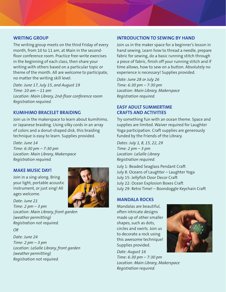#### **WRITING GROUP**

The writing group meets on the third Friday of every month, from 10 to 11 am, at Main in the secondfloor conference room. Practice free-write exercises in the beginning of each class, then share your writing with others based on a particular topic or theme of the month. All are welcome to participate, no matter the writing skill level.

*Date: June 17, July 15, and August 19 Time: 10 am – 11 am Location: Main Library, 2nd-floor conference room Registration required.*

# **KUMIHIMO BRACELET BRAIDING**

Join us in the makerspace to learn about kumihimo, or Japanese braiding. Using silky cords in an array of colors and a donut-shaped disk, this braiding technique is easy to learn. Supplies provided.

*Date: June 14 Time: 6:30 pm – 7:30 pm Location: Main Library, Makerspace Registration required.*

# **MAKE MUSIC DAY!**

Join in a sing-along. Bring your light, portable acoustic instrument, or just sing! All ages welcome.



*Date: June 21 Time: 2 pm – 3 pm Location: Main Library, front garden (weather permitting) Registration not required.*

*OR* 

*Date: June 24 Time: 2 pm – 3 pm Location: LaSalle Library, front garden (weather permitting) Registration not required.*

# **INTRODUCTION TO SEWING BY HAND**

Join us in the maker space for a beginner's lesson in hand sewing. Learn how to thread a needle, prepare fabric for sewing, do a basic running stitch through a piece of fabric, finish off your running stitch and if time allows, how to sew on a button. Absolutely no experience is necessary! Supplies provided.

*Date: June 28 or July 26 Time: 6:30 pm – 7:30 pm Location: Main Library, Makerspace Registration required.*

# **EASY ADULT SUMMERTIME CRAFTS AND ACTIVITIES**

Try something fun with an ocean theme. Space and supplies are limited. Waiver required for Laughter Yoga participation. Craft supplies are generously funded by the Friends of the Library.

*Dates: July 1, 8, 15, 22, 29 Time: 2 pm – 3 pm Location: LaSalle Library Registration required.*

July 1: Beaded Seaglass Pendant Craft July 8: Oceans of Laughter – Laughter Yoga July 15: Jellyfish Door Decor Craft July 22: Ocean Explosion Boxes Craft July 29: Retro Time! – Boondoggle Keychain Craft

# **MANDALA ROCKS**

Mandalas are beautiful, often intricate designs made up of other smaller shapes, such as dots, circles and swirls. Join us to decorate a rock using this awesome technique! Supplies provided.

*Date: August 16 Time: 6:30 pm – 7:30 pm Location: Main Library, Makerspace Registration required.*

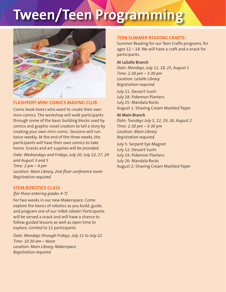# **Tween/Teen Programming**



# **FLASHPOP! MINI-COMICS MAKING CLUB**

Comic book lovers who want to create their own mini-comics. The workshop will walk participants through some of the basic building blocks used by comics and graphic novel creators to tell a story by creating your own mini-comic. Sessions will run twice weekly. At the end of the three weeks, the participants will have their own comics to take home. Snacks and art supplies will be provided.

*Date: Wednesdays and Fridays, July 20, July 22, 27, 29 and August 3 and 5 Time: 2 pm – 4 pm Location: Main Library, 2nd-floor conference room Registration required.*

# **STEM ROBOTICS CLASS**

#### *(for those entering grades 4-7)*

For two weeks in our new Makerspace. Come explore the basics of robotics as you build, guide, and program one of our mBot robots! Participants will be served a snack and will have a chance to follow guided lessons as well as open time to explore. Limited to 12 participants

*Date: Mondays through Fridays, July 11 to July 22 Time: 10.30 am – Noon Location: Main Library, Makerspace Registration required.*

# **TEEN SUMMER READING CRAFTS:**

Summer Reading for our Teen Crafts programs, for ages 12 – 18. We will have a craft and a snack for participants.

#### **At LaSalle Branch**

*Date: Mondays, July 11, 18, 25, August 1 Time: 2:30 pm – 3:30 pm Location: LaSalle Library Registration required.* 

July 11: Dessert Sushi July 18: Pokemon Planters July 25: Mandala Rocks August 1: Shaving Cream Marbled Paper

#### **At Main Branch**

*Date: Tuesdays July 5, 12, 19, 26, August 2 Time: 2:30 pm – 3:30 pm Location: Main Library Registration required.* 

July 5: Serpent Eye Magnet July 12: Dessert Sushi July 19: Pokemon Planters July 26: Mandala Rocks August 2: Shaving Cream Marbled Paper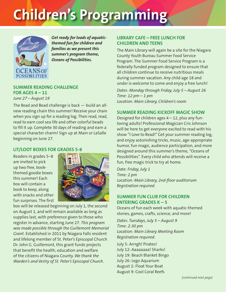# **Children's Programming**



*Get ready for loads of aquaticthemed fun for children and families as we present this summer's program theme, Oceans of Possibilities.* 

# **SUMMER READING CHALLENGE FOR AGES 4 – 11**

*June 27 – August 19*

The Read and Bead challenge is back — build an allnew reading chain this summer! Receive your chain when you sign up for a reading log. Then read, read, read to earn cool sea life and other colorful beads to fill it up. Complete 30 days of reading and earn a special character charm! Sign up at Main or LaSalle beginning on June 27.

# **LIT/LOOT BOXES FOR GRADES 5-8**

Readers in grades 5–8 are invited to pick up two free, bookthemed goodie boxes this summer! Each box will contain a book to keep, along with snacks and other fun surprises. The first



box will be released beginning on July 1, the second on August 1, and will remain available as long as supplies last, with preference given to those who register in advance, starting June 27. *This program was made possible through the Guillemont Memorial Grant.* Established in 2011 by Niagara Falls resident and lifelong member of St. Peter's Episcopal Church Dr. John G. Guillemont, this grant funds projects that benefit the health, education and welfare of the citizens of Niagara County. *We thank the Warden's and Vestry of St. Peter's Episcopal Church.*

#### **LIBRARY CAFE – FREE LUNCH FOR CHILDREN AND TEENS**

The Main Library will again be a site for the Niagara County Youth Bureau Summer Food Service Program. The Summer Food Service Program is a federally funded program designed to ensure that all children continue to receive nutritious meals during summer vacation. Any child age 18 and under is welcome to come and enjoy a free lunch!

*Dates: Monday through Friday, July 5 – August 26 Time: 12 pm – 1 pm Location: Main Library, Children's room*

#### **SUMMER READING KICKOFF MAGIC SHOW**

Designed for children ages 4 – 12, plus any funloving adults! Professional Magician Cris Johnson will be here to get everyone excited to read with his show "I Love to Read!" Get your summer reading log, and enjoy astonishing tricks, music, age-appropriate humor, fun magic, audience participation, and more designed around this summer's theme, "Oceans of Possibilities". Every child who attends will receive a fun, free magic trick to try at home.

*Date: Friday, July 1 Time: 2 pm Location: Main Library, 2nd-floor auditorium Registration required.*

#### **SUMMER FUN CLUB FOR CHILDREN ENTERING GRADES K – 5**

Oceans of fun each week with aquatic-themed stories, games, crafts, science, and more!

*Dates: Tuesdays, July 5 – August 9 Time: 2:30 pm Location: Main Library Meeting Room Registration required.*

July 5: Arrrgh! Pirates! July 12: Aaaaaaaa! Sharks! July 19: Beach Blanket Bingo July 26: Lego Aquarium August 2: Float Your Boat August 9: Cool Coral Reefs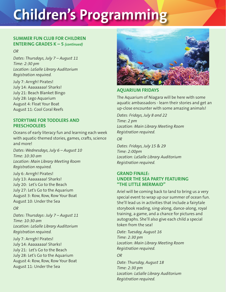# **Children's Programming**

#### **SUMMER FUN CLUB FOR CHILDREN ENTERING GRADES K – 5** *(continued)*

*OR* 

*Dates: Thursdays, July 7 – August 11 Time: 2:30 pm Location: LaSalle Library Auditorium Registration required.*

July 7: Arrrgh! Pirates! July 14: Aaaaaaaa! Sharks! July 21: Beach Blanket Bingo July 28: Lego Aquarium August 4: Float Your Boat August 11: Cool Coral Reefs

### **STORYTIME FOR TODDLERS AND PRESCHOOLERS**

Oceans of early literacy fun and learning each week with aquatic-themed stories, games, crafts, science and more!

*Dates: Wednesdays, July 6 – August 10 Time: 10:30 am Location: Main Library Meeting Room Registration required.*

July 6: Arrrgh! Pirates! July 13: Aaaaaaaa! Sharks! July 20: Let's Go to the Beach July 27: Let's Go to the Aquarium August 3: Row, Row, Row Your Boat August 10: Under the Sea

*OR* 

*Dates: Thursdays: July 7 – August 11 Time: 10:30 am Location: LaSalle Library Auditorium Registration required.*

July 7: Arrrgh! Pirates! July 14: Aaaaaaaa! Sharks! July 21: Let's Go to the Beach July 28: Let's Go to the Aquarium August 4: Row, Row, Row Your Boat August 11: Under the Sea



# **AQUARIUM FRIDAYS**

The Aquarium of Niagara will be here with some aquatic ambassadors - learn their stories and get an up-close encounter with some amazing animals!

*Dates: Fridays, July 8 and 22 Time: 2 pm Location: Main Library Meeting Room Registration required.*

*OR* 

*Dates: Fridays, July 15 & 29 Time: 2:00pm Location: LaSalle Library Auditorium Registration required.*

# **GRAND FINALE: UNDER THE SEA PARTY FEATURING "THE LITTLE MERMAID"**

Ariel will be coming back to land to bring us a very special event to wrap up our summer of ocean fun. She'll lead us in activities that include a fairytale storybook reading, sing-along, dance-along, royal training, a game, and a chance for pictures and autographs. She'll also give each child a special token from the sea!

*Date: Tuesday, August 16 Time: 2:30 pm Location: Main Library Meeting Room Registration required.*

*OR* 

*Date: Thursday, August 18 Time: 2:30 pm Location: LaSalle Library Auditorium Registration required.*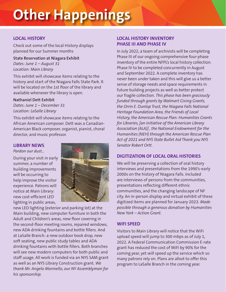# **Other Happenings**

# **LOCAL HISTORY**

Check out some of the local History displays planned for our Summer months

**State Reservation at Niagara Exhibit** *Dates: June 1 – August 31 Location: Main Library*

This exhibit will showcase items relating to the history and start of the Niagara Falls State Park. It will be located on the 1st floor of the library and available whenever the library is open.

#### **Nathaniel Dett Exhibit**

*Dates: June 1 – December 31 Location: LaSalle Library*

This exhibit will showcase items relating to the African American composer. Dett was a Canadian-American Black composer, organist, pianist, choral director, and music professor.

#### **LIBRARY NEWS**

*Pardon our dust…*

During your visit in early summer, a number of building improvements will be occurring to help improve the visitor experience. Patrons will notice at Main Library: new cost-efficient LED lighting in public areas,



new LED lighting (exterior and parking lot) at the Main building, new computer furniture in both the Adult and Children's areas, new floor covering in the second-floor meeting rooms, repaired windows, new ADA drinking fountains and bottle fillers. And at LaSalle Branch: a new outdoor book drop, new soft seating, new public study tables and ADA drinking fountains with bottle fillers. Both branches will see new modern computers for both public and staff usage. All work is funded via an NYS SAM grant as well as an NYS Library Construction grant. *We thank Mr. Angelo Morinello, our NY Assemblyman for his sponsorship.*

# **LOCAL HISTORY INVENTORY PHASE III AND PHASE IV**

In July 2022, a team of archivists will be completing Phase III of our ongoing comprehensive four-phase inventory of the entire NFPL's local history collection. Phase IV to be completed concurrently in August and September 2022. A complete inventory has never been under taken and this will give us a better sense of storage needs and space requirements in future building projects as well as better protect our fragile collection. *This phase has been graciously funded through grants by Walmart Giving Grants, the Orrin E. Dunlop Trust, the Niagara Falls National Heritage Foundation Area, the Friends of Local History, the American Rescue Plan: Humanities Grants for Libraries, [an initiative of the American Library Association (ALA)] , the National Endowment for the Humanities (NEH) through the American Rescue Plan Act of 2021 and NYS State Bullet Aid Thank you NYS Senator Robert Ortt.*

# **DIGITIZATION OF LOCAL ORAL HISTORIES**

We will be preserving a collection of oral history interviews and presentations from the 1990's-early 2000s on the history of Niagara Falls. Included are interviews of persons from the communities, presentations reflecting different ethnic communities, and the changing landscape of NF city. An in-person display and virtual exhibit of these digitized items are planned for January 2023. *Made possible through a generous donation by Humanities New York – Action Grant.*

# **WIFI SPEED**

Visitors to Main Library will notice that the WiFi upload speed will jump to 300 mbps as of July 1, 2022. A Federal Communication Commission E-rate grant has reduced the cost of WiFi by 90% for the coming year, yet will speed up the service which so many patrons rely on. Plans are afoot to offer this program to LaSalle Branch in the coming year.